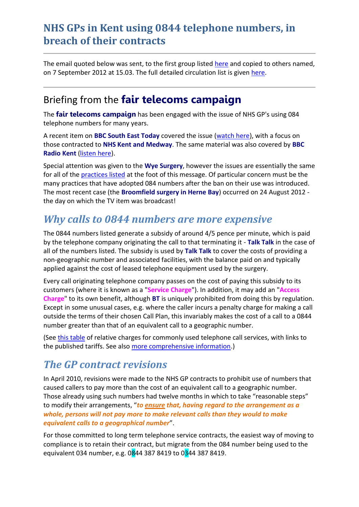The email quoted below was sent, to the first group listed [here](#page-3-0) and copied to others named, on 7 September 2012 at 15.03. The full detailed circulation list is given [here.](#page-7-0)

#### Briefing from the **fair telecoms campaign**

The **fair telecoms campaign** has been engaged with the issue of NHS GP's using 084 telephone numbers for many years.

A recent item on **BBC South East Today** covered the issue [\(watch here\)](http://tinyurl.com/dhtiny/tele?48), with a focus on those contracted to **NHS Kent and Medway**. The same material was also covered by **BBC Radio Kent** [\(listen here\)](http://tinyurl.com/dhtiny/radio?80).

Special attention was given to the **Wye Surgery**, however the issues are essentially the same for all of the [practices listed](#page-5-0) at the foot of this message. Of particular concern must be the many practices that have adopted 084 numbers after the ban on their use was introduced. The most recent case (the **Broomfield surgery in Herne Bay**) occurred on 24 August 2012 the day on which the TV item was broadcast!

#### *Why calls to 0844 numbers are more expensive*

The 0844 numbers listed generate a subsidy of around 4/5 pence per minute, which is paid by the telephone company originating the call to that terminating it - **Talk Talk** in the case of all of the numbers listed. The subsidy is used by **Talk Talk** to cover the costs of providing a non-geographic number and associated facilities, with the balance paid on and typically applied against the cost of leased telephone equipment used by the surgery.

Every call originating telephone company passes on the cost of paying this subsidy to its customers (where it is known as a "**Service Charge**"). In addition, it may add an "**Access Charge**" to its own benefit, although **BT** is uniquely prohibited from doing this by regulation. Except in some unusual cases, e.g. where the caller incurs a penalty charge for making a call outside the terms of their chosen Call Plan, this invariably makes the cost of a call to a 0844 number greater than that of an equivalent call to a geographic number.

(See [this table](http://tiny.cc/GP084Costs) of relative charges for commonly used telephone call services, with links to the published tariffs. See also [more comprehensive information.](http://www.fairtelecoms.org.uk/when-are-084-calls-more-expensive-than-geographic-rate.html))

#### *The GP contract revisions*

In April 2010, revisions were made to the NHS GP contracts to prohibit use of numbers that caused callers to pay more than the cost of an equivalent call to a geographic number. Those already using such numbers had twelve months in which to take "reasonable steps" to modify their arrangements, "*to ensure that, having regard to the arrangement as a whole, persons will not pay more to make relevant calls than they would to make equivalent calls to a geographical number*".

For those committed to long term telephone service contracts, the easiest way of moving to compliance is to retain their contract, but migrate from the 084 number being used to the equivalent 034 number, e.g. 0844 387 8419 to 0344 387 8419.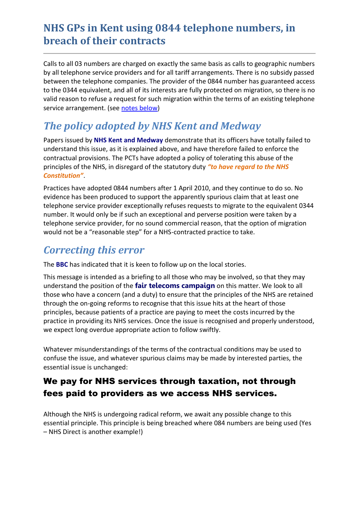Calls to all 03 numbers are charged on exactly the same basis as calls to geographic numbers by all telephone service providers and for all tariff arrangements. There is no subsidy passed between the telephone companies. The provider of the 0844 number has guaranteed access to the 0344 equivalent, and all of its interests are fully protected on migration, so there is no valid reason to refuse a request for such migration within the terms of an existing telephone service arrangement. (see [notes below\)](#page-4-0)

## *The policy adopted by NHS Kent and Medway*

Papers issued by **NHS Kent and Medway** demonstrate that its officers have totally failed to understand this issue, as it is explained above, and have therefore failed to enforce the contractual provisions. The PCTs have adopted a policy of tolerating this abuse of the principles of the NHS, in disregard of the statutory duty *"to have regard to the NHS Constitution"*.

Practices have adopted 0844 numbers after 1 April 2010, and they continue to do so. No evidence has been produced to support the apparently spurious claim that at least one telephone service provider exceptionally refuses requests to migrate to the equivalent 0344 number. It would only be if such an exceptional and perverse position were taken by a telephone service provider, for no sound commercial reason, that the option of migration would not be a "reasonable step" for a NHS-contracted practice to take.

## *Correcting this error*

The **BBC** has indicated that it is keen to follow up on the local stories.

This message is intended as a briefing to all those who may be involved, so that they may understand the position of the **fair telecoms campaign** on this matter. We look to all those who have a concern (and a duty) to ensure that the principles of the NHS are retained through the on-going reforms to recognise that this issue hits at the heart of those principles, because patients of a practice are paying to meet the costs incurred by the practice in providing its NHS services. Once the issue is recognised and properly understood, we expect long overdue appropriate action to follow swiftly.

Whatever misunderstandings of the terms of the contractual conditions may be used to confuse the issue, and whatever spurious claims may be made by interested parties, the essential issue is unchanged:

#### We pay for NHS services through taxation, not through fees paid to providers as we access NHS services.

Although the NHS is undergoing radical reform, we await any possible change to this essential principle. This principle is being breached where 084 numbers are being used (Yes – NHS Direct is another example!)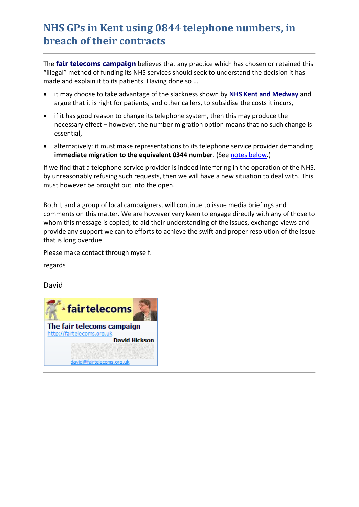The **fair telecoms campaign** believes that any practice which has chosen or retained this "illegal" method of funding its NHS services should seek to understand the decision it has made and explain it to its patients. Having done so …

- it may choose to take advantage of the slackness shown by **NHS Kent and Medway** and argue that it is right for patients, and other callers, to subsidise the costs it incurs,
- if it has good reason to change its telephone system, then this may produce the necessary effect – however, the number migration option means that no such change is essential,
- alternatively; it must make representations to its telephone service provider demanding **immediate migration to the equivalent 0344 number**. (See [notes below.](#page-4-0))

If we find that a telephone service provider is indeed interfering in the operation of the NHS, by unreasonably refusing such requests, then we will have a new situation to deal with. This must however be brought out into the open.

Both I, and a group of local campaigners, will continue to issue media briefings and comments on this matter. We are however very keen to engage directly with any of those to whom this message is copied; to aid their understanding of the issues, exchange views and provide any support we can to efforts to achieve the swift and proper resolution of the issue that is long overdue.

Please make contact through myself.

regards

[David](mailto:david@fairtelecoms.org.uk)

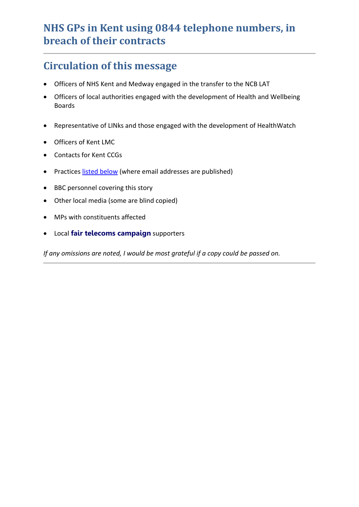#### <span id="page-3-0"></span>**Circulation of this message**

- Officers of NHS Kent and Medway engaged in the transfer to the NCB LAT
- Officers of local authorities engaged with the development of Health and Wellbeing Boards
- Representative of LINks and those engaged with the development of HealthWatch
- Officers of Kent LMC
- Contacts for Kent CCGs
- Practices [listed below](#page-5-0) (where email addresses are published)
- BBC personnel covering this story
- Other local media (some are blind copied)
- MPs with constituents affected
- Local **fair telecoms campaign** supporters

*If any omissions are noted, I would be most grateful if a copy could be passed on.*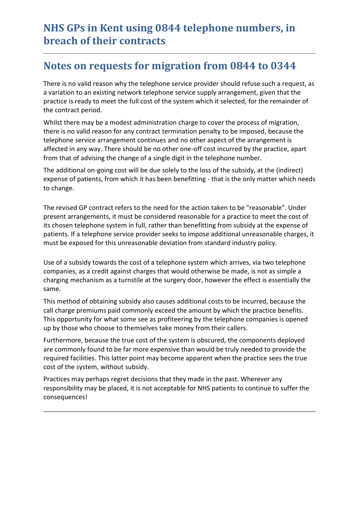#### <span id="page-4-0"></span>**Notes on requests for migration from 0844 to 0344**

There is no valid reason why the telephone service provider should refuse such a request, as a variation to an existing network telephone service supply arrangement, given that the practice is ready to meet the full cost of the system which it selected, for the remainder of the contract period.

Whilst there may be a modest administration charge to cover the process of migration, there is no valid reason for any contract termination penalty to be imposed, because the telephone service arrangement continues and no other aspect of the arrangement is affected in any way. There should be no other one-off cost incurred by the practice, apart from that of advising the change of a single digit in the telephone number.

The additional on-going cost will be due solely to the loss of the subsidy, at the (indirect) expense of patients, from which it has been benefitting - that is the only matter which needs to change.

The revised GP contract refers to the need for the action taken to be "reasonable". Under present arrangements, it must be considered reasonable for a practice to meet the cost of its chosen telephone system in full, rather than benefitting from subsidy at the expense of patients. If a telephone service provider seeks to impose additional unreasonable charges, it must be exposed for this unreasonable deviation from standard industry policy.

Use of a subsidy towards the cost of a telephone system which arrives, via two telephone companies, as a credit against charges that would otherwise be made, is not as simple a charging mechanism as a turnstile at the surgery door, however the effect is essentially the same.

This method of obtaining subsidy also causes additional costs to be incurred, because the call charge premiums paid commonly exceed the amount by which the practice benefits. This opportunity for what some see as profiteering by the telephone companies is opened up by those who choose to themselves take money from their callers.

Furthermore, because the true cost of the system is obscured, the components deployed are commonly found to be far more expensive than would be truly needed to provide the required facilities. This latter point may become apparent when the practice sees the true cost of the system, without subsidy.

Practices may perhaps regret decisions that they made in the past. Wherever any responsibility may be placed, it is not acceptable for NHS patients to continue to suffer the consequences!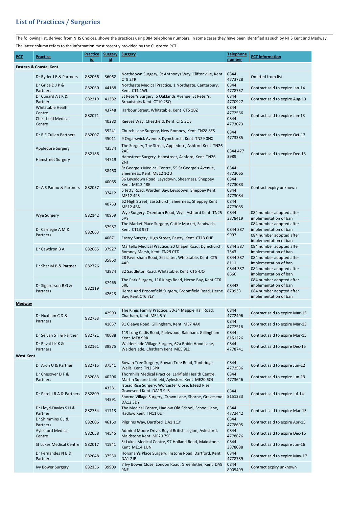# <span id="page-5-0"></span>**List of Practices / Surgeries**

The following list, derived from NHS Choices, shows the practices using 084 telephone numbers. In some cases they have been identified as such by NHS Kent and Medway.

The latter column refers to the information most recently provided by the Clustered PCT.

| PCT                               | <b>Practice</b>                     | <b>Practice</b><br>id | <b>Surgery</b><br>id | <b>Surgery</b>                                                                                            | <b>Telephone</b><br>number | <b>PCT</b> information                                           |  |  |  |
|-----------------------------------|-------------------------------------|-----------------------|----------------------|-----------------------------------------------------------------------------------------------------------|----------------------------|------------------------------------------------------------------|--|--|--|
| <b>Eastern &amp; Coastal Kent</b> |                                     |                       |                      |                                                                                                           |                            |                                                                  |  |  |  |
|                                   | Dr Ryder J E & Partners             | G82066                | 36062                | Northdown Surgery, St Anthonys Way, Cliftonville, Kent<br>CT9 2TR                                         | 0844<br>4773728            | Omitted from list                                                |  |  |  |
|                                   | Dr Grice D J P &<br>Partners        | G82060                | 44188                | Northgate Medical Practice, 1 Northgate, Canterbury,<br>Kent CT1 1WL                                      | 0844<br>4778757            | Contract said to expire Jan-14                                   |  |  |  |
|                                   | Dr Cunard A J K &<br>Partner        | G82219                | 41382                | St Peter's Surgery, 6 Oaklands Avenue, St Peter's,<br>Broadstairs Kent CT10 2SQ                           | 0844<br>4770927            | Contract said to expire Aug-13                                   |  |  |  |
|                                   | Whitstable Health<br>Centre         |                       | 43748                | Harbour Street, Whitstable, Kent CT5 1BZ                                                                  | 0844<br>4772566            | Contract said to expire Jan-13                                   |  |  |  |
|                                   | <b>Chestfield Medical</b><br>Centre | G82071                | 40280                | 0844<br>Reeves Way, Chestfield, Kent CT5 3QS                                                              | 4773073                    |                                                                  |  |  |  |
|                                   | Dr R F Cullen Partners              | G82007<br>G82186      | 39241                | Church Lane Surgery, New Romney, Kent TN28 8ES                                                            | 0844                       | Contract said to expire Oct-13<br>Contract said to expire Dec-13 |  |  |  |
|                                   |                                     |                       | 45011                | 9 Orgarswick Avenue, Dymchurch, Kent TN29 0NX<br>The Surgery, The Street, Appledore, Ashford Kent TN26    | 4773385                    |                                                                  |  |  |  |
|                                   | Appledore Surgery                   |                       | 43574                | 2AE                                                                                                       | 0844 477                   |                                                                  |  |  |  |
|                                   | <b>Hamstreet Surgery</b>            |                       | 44719                | Hamstreet Surgery, Hamstreet, Ashford, Kent TN26<br>2NJ                                                   | 3989                       |                                                                  |  |  |  |
|                                   |                                     |                       | 38460                | St George's Medical Centre, 55 St George's Avenue,<br>Sheerness, Kent ME12 1QU                            | 0844<br>4773065            | Contract expiry unknown                                          |  |  |  |
|                                   | Dr A S Pannu & Partners             | G82057                | 40065                | 36 Leysdown Road, Leysdown, Sheerness, Sheppey<br>Kent ME12 4RE                                           | 0844<br>4773083            |                                                                  |  |  |  |
|                                   |                                     |                       | 37412                | 5 Jetty Road, Warden Bay, Leysdown, Sheppey Kent<br><b>ME12 4PS</b>                                       | 0844<br>4773084            |                                                                  |  |  |  |
|                                   |                                     |                       | 40753                | 62 High Street, Eastchurch, Sheerness, Sheppey Kent<br><b>ME12 4BN</b>                                    | 0844<br>4773085            |                                                                  |  |  |  |
|                                   | <b>Wye Surgery</b>                  | G82142                | 40959                | Wye Surgery, Oxenturn Road, Wye, Ashford Kent TN25<br>5AY                                                 | 0844<br>3878419            | 084 number adopted after<br>implementation of ban                |  |  |  |
|                                   | Dr Carnegie A M &<br>Partners       | G82063                | 37987                | The Market Place Surgery, Cattle Market, Sandwich,                                                        |                            | 084 number adopted after                                         |  |  |  |
|                                   |                                     |                       | 40671                | Kent CT13 9ET<br>Eastry Surgery, High Street, Eastry, Kent CT13 OHE                                       | 0844 387<br>9997           | implementation of ban<br>084 number adopted after                |  |  |  |
|                                   |                                     |                       |                      | Martello Medical Practice, 20 Chapel Road, Dymchurch,                                                     | 0844 387                   | implementation of ban<br>084 number adopted after                |  |  |  |
|                                   | Dr Cawdron B A                      | G82665                | 37927                | Romney Marsh, Kent TN29 OTD<br>28 Faversham Road, Seasalter, Whitstable, Kent CT5                         | 7343<br>0844 387           | implementation of ban<br>084 number adopted after                |  |  |  |
|                                   | Dr Shar M B & Partner               | G82726                | 35860                | 4AR                                                                                                       | 8111<br>0844 387           | implementation of ban<br>084 number adopted after                |  |  |  |
|                                   |                                     |                       | 43874                | 32 Saddleton Road, Whitstable, Kent CT5 4JQ                                                               | 8666                       | implementation of ban                                            |  |  |  |
|                                   | Dr Sigurdsson R G &<br>Partners     | G82119                | 37465                | The Park Surgery, 116 Kings Road, Herne Bay, Kent CT6<br>5RE                                              | 08443                      | 084 number adopted after<br>implementation of ban                |  |  |  |
|                                   |                                     |                       | 42623                | Herne And Broomfield Surgery, Broomfield Road, Herne<br>Bay, Kent CT6 7LY                                 | 879933                     | 084 number adopted after<br>implementation of ban                |  |  |  |
| <b>Medway</b>                     |                                     |                       |                      |                                                                                                           |                            |                                                                  |  |  |  |
|                                   | Dr Huxham CD &<br>Partners          | G82753                | 42993                | The Kings Family Practice, 30-34 Magpie Hall Road,<br>Chatham, Kent ME4 5JY                               | 0844<br>4772496            | Contract said to expire Mar-13                                   |  |  |  |
|                                   |                                     |                       | 41657                | 91 Cleave Road, Gillingham, Kent ME7 4AX                                                                  | 0844<br>4772518            | Contract said to expire Mar-13                                   |  |  |  |
|                                   | Dr Selvan S T & Partner             | G82721                | 40088                | 119 Long Catlis Road, Parkwood, Rainham, Gillingham<br>Kent ME8 9RR                                       | 0844<br>8151226            | Contract said to expire Mar-15                                   |  |  |  |
|                                   | Dr Raval J K K &<br>Partners        | G82161                | 39875                | Walderslade Village Surgery, 62a Robin Hood Lane,<br>Walderslade, Chatham Kent ME5 9LD                    | 0844<br>4778741            | Contract said to expire Dec-15                                   |  |  |  |
| <b>West Kent</b>                  |                                     |                       |                      |                                                                                                           |                            |                                                                  |  |  |  |
|                                   | Dr Aron U & Partner                 | G82715                | 37541                | Rowan Tree Surgery, Rowan Tree Road, Tunbridge<br>Wells, Kent TN2 5PX                                     | 0844<br>4772536            | Contract said to expire Jun-12                                   |  |  |  |
|                                   | Dr Chesover D F &<br>Partners       | G82083                | 40206                | Thornhills Medical Practice, Larkfield Health Centre,<br>Martin Square Larkfield, Aylesford Kent ME20 6QJ | 0844<br>4773646            | Contract said to expire Jun-13                                   |  |  |  |
|                                   | Dr Patel J R A & Partners           | G82809                | 43381                | Istead Rise Surgery, Worcester Close, Istead Rise,<br>Gravesend Kent DA13 9LB                             | 0844                       |                                                                  |  |  |  |
|                                   |                                     |                       | 44591                | Shorne Village Surgery, Crown Lane, Shorne, Gravesend<br><b>DA12 3DY</b>                                  | 8151333                    | Contract said to expire Jul-14                                   |  |  |  |
|                                   | Dr Lloyd-Davies S H &<br>Partner    | G82754                | 41713                | The Medical Centre, Hadlow Old School, School Lane,<br>Hadlow Kent TN11 OET                               | 0844<br>4772442            | Contract said to expire Mar-15                                   |  |  |  |
|                                   | Dr Shimmins C J &<br>Partners       | G82006                | 46160                | Pilgrims Way, Dartford DA1 1QY                                                                            | 0844<br>4778695            | Contract said to expire Apr-15                                   |  |  |  |
|                                   | <b>Aylesford Medical</b><br>Centre  | G82058                | 44545                | Admiral Moore Drive, Royal British Legion, Aylesford,<br>Maidstone Kent ME20 7SE                          | 0844<br>4778676            | Contract said to expire Dec-16                                   |  |  |  |
|                                   | <b>St Lukes Medical Centre</b>      | G82017                | 41941                | St Lukes Medical Centre, 97 Holland Road, Maidstone,<br>Kent ME14 1UN                                     | 0844<br>3878088            | Contract said to expire Jun-16                                   |  |  |  |
|                                   | Dr Fernandes N B &<br>Partners      | G82048                | 37530                | Horsman's Place Surgery, Instone Road, Dartford, Kent<br>DA1 2JP                                          | 0844<br>4778789            | Contract said to expire May-17                                   |  |  |  |
|                                   | Ivy Bower Surgery                   | G82156                | 39909                | 7 Ivy Bower Close, London Road, Greenhithe, Kent DA9<br>9NF                                               | 0844<br>8005499            | Contract expiry unknown                                          |  |  |  |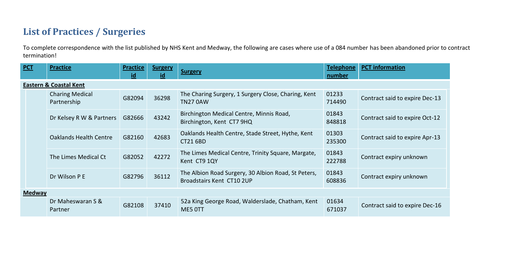## **List of Practices / Surgeries**

To complete correspondence with the list published by NHS Kent and Medway, the following are cases where use of a 084 number has been abandoned prior to contract termination!

| PCT                               | <b>Practice</b>                       | <b>Practice</b><br>id | <b>Surgery</b><br>id | <b>Surgery</b>                                                                   | <b>Telephone</b><br>number | <b>PCT</b> information         |  |  |  |
|-----------------------------------|---------------------------------------|-----------------------|----------------------|----------------------------------------------------------------------------------|----------------------------|--------------------------------|--|--|--|
| <b>Eastern &amp; Coastal Kent</b> |                                       |                       |                      |                                                                                  |                            |                                |  |  |  |
|                                   | <b>Charing Medical</b><br>Partnership | G82094                | 36298                | The Charing Surgery, 1 Surgery Close, Charing, Kent<br><b>TN27 0AW</b>           | 01233<br>714490            | Contract said to expire Dec-13 |  |  |  |
|                                   | Dr Kelsey R W & Partners              | G82666                | 43242                | Birchington Medical Centre, Minnis Road,<br>Birchington, Kent CT7 9HQ            | 01843<br>848818            | Contract said to expire Oct-12 |  |  |  |
|                                   | <b>Oaklands Health Centre</b>         | G82160                | 42683                | Oaklands Health Centre, Stade Street, Hythe, Kent<br>CT21 6BD                    | 01303<br>235300            | Contract said to expire Apr-13 |  |  |  |
|                                   | The Limes Medical Ct                  | G82052                | 42272                | The Limes Medical Centre, Trinity Square, Margate,<br>Kent CT9 1QY               | 01843<br>222788            | Contract expiry unknown        |  |  |  |
|                                   | Dr Wilson P E                         | G82796                | 36112                | The Albion Road Surgery, 30 Albion Road, St Peters,<br>Broadstairs Kent CT10 2UP | 01843<br>608836            | Contract expiry unknown        |  |  |  |
| <b>Medway</b>                     |                                       |                       |                      |                                                                                  |                            |                                |  |  |  |
|                                   | Dr Maheswaran S &<br>Partner          | G82108                | 37410                | 52a King George Road, Walderslade, Chatham, Kent<br>ME5 OTT                      | 01634<br>671037            | Contract said to expire Dec-16 |  |  |  |